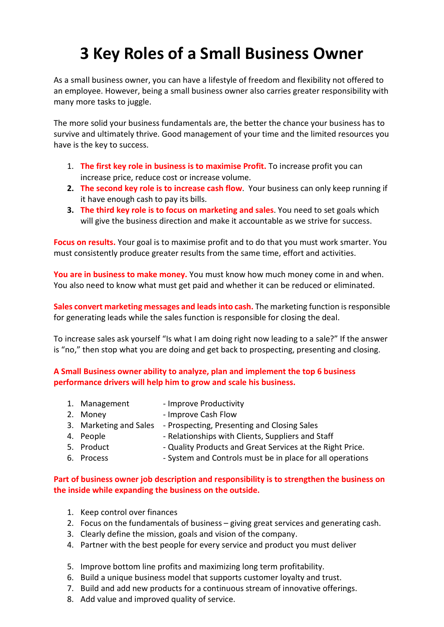# 3 Key Roles of a Small Business Owner

As a small business owner, you can have a lifestyle of freedom and flexibility not offered to an employee. However, being a small business owner also carries greater responsibility with many more tasks to juggle.

The more solid your business fundamentals are, the better the chance your business has to survive and ultimately thrive. Good management of your time and the limited resources you have is the key to success.

- 1. The first key role in business is to maximise Profit. To increase profit you can increase price, reduce cost or increase volume.
- 2. The second key role is to increase cash flow. Your business can only keep running if it have enough cash to pay its bills.
- 3. The third key role is to focus on marketing and sales. You need to set goals which will give the business direction and make it accountable as we strive for success.

Focus on results. Your goal is to maximise profit and to do that you must work smarter. You must consistently produce greater results from the same time, effort and activities.

You are in business to make money. You must know how much money come in and when. You also need to know what must get paid and whether it can be reduced or eliminated.

Sales convert marketing messages and leads into cash. The marketing function is responsible for generating leads while the sales function is responsible for closing the deal.

To increase sales ask yourself "Is what I am doing right now leading to a sale?" If the answer is "no," then stop what you are doing and get back to prospecting, presenting and closing.

A Small Business owner ability to analyze, plan and implement the top 6 business performance drivers will help him to grow and scale his business.

| 1. Management          | - Improve Productivity                                    |
|------------------------|-----------------------------------------------------------|
| 2. Money               | - Improve Cash Flow                                       |
| 3. Marketing and Sales | - Prospecting, Presenting and Closing Sales               |
| 4. People              | - Relationships with Clients, Suppliers and Staff         |
| 5. Product             | - Quality Products and Great Services at the Right Price. |
| 6. Process             | - System and Controls must be in place for all operations |

## Part of business owner job description and responsibility is to strengthen the business on the inside while expanding the business on the outside.

- 1. Keep control over finances
- 2. Focus on the fundamentals of business giving great services and generating cash.
- 3. Clearly define the mission, goals and vision of the company.
- 4. Partner with the best people for every service and product you must deliver
- 5. Improve bottom line profits and maximizing long term profitability.
- 6. Build a unique business model that supports customer loyalty and trust.
- 7. Build and add new products for a continuous stream of innovative offerings.
- 8. Add value and improved quality of service.